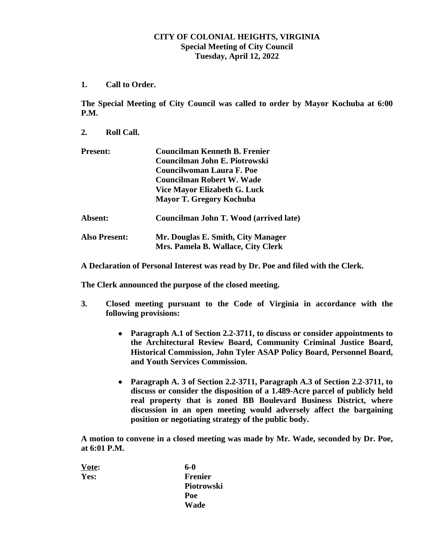## **CITY OF COLONIAL HEIGHTS, VIRGINIA Special Meeting of City Council Tuesday, April 12, 2022**

**1. Call to Order.**

**The Special Meeting of City Council was called to order by Mayor Kochuba at 6:00 P.M.**

**2. Roll Call.**

| <b>Present:</b>      | <b>Councilman Kenneth B. Frenier</b><br>Councilman John E. Piotrowski<br><b>Councilwoman Laura F. Poe</b> |
|----------------------|-----------------------------------------------------------------------------------------------------------|
|                      | <b>Councilman Robert W. Wade</b>                                                                          |
|                      | <b>Vice Mayor Elizabeth G. Luck</b>                                                                       |
|                      | <b>Mayor T. Gregory Kochuba</b>                                                                           |
| Absent:              | Councilman John T. Wood (arrived late)                                                                    |
| <b>Also Present:</b> | Mr. Douglas E. Smith, City Manager<br>Mrs. Pamela B. Wallace, City Clerk                                  |

**A Declaration of Personal Interest was read by Dr. Poe and filed with the Clerk.**

**The Clerk announced the purpose of the closed meeting.**

- **3. Closed meeting pursuant to the Code of Virginia in accordance with the following provisions:**
	- **Paragraph A.1 of Section 2.2-3711, to discuss or consider appointments to the Architectural Review Board, Community Criminal Justice Board, Historical Commission, John Tyler ASAP Policy Board, Personnel Board, and Youth Services Commission.**
	- **Paragraph A. 3 of Section 2.2-3711, Paragraph A.3 of Section 2.2-3711, to discuss or consider the disposition of a 1.489-Acre parcel of publicly held real property that is zoned BB Boulevard Business District, where discussion in an open meeting would adversely affect the bargaining position or negotiating strategy of the public body.**

**A motion to convene in a closed meeting was made by Mr. Wade, seconded by Dr. Poe, at 6:01 P.M.**

| Vote: | 6-0            |
|-------|----------------|
| Yes:  | <b>Frenier</b> |
|       | Piotrowski     |
|       | Poe            |
|       | Wade           |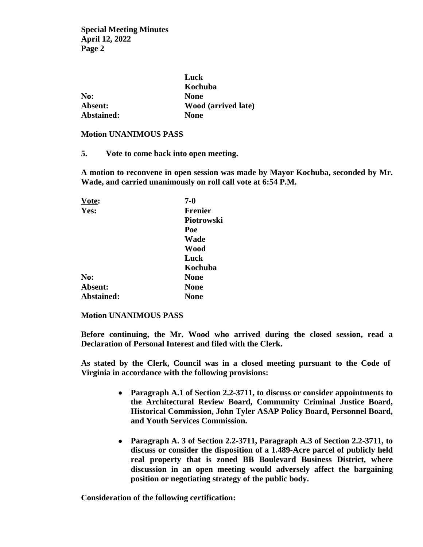**Special Meeting Minutes April 12, 2022 Page 2**

|            | Luck                       |
|------------|----------------------------|
|            | Kochuba                    |
| No:        | <b>None</b>                |
| Absent:    | <b>Wood (arrived late)</b> |
| Abstained: | <b>None</b>                |

# **Motion UNANIMOUS PASS**

**5. Vote to come back into open meeting.**

**A motion to reconvene in open session was made by Mayor Kochuba, seconded by Mr. Wade, and carried unanimously on roll call vote at 6:54 P.M.**

| Vote:      | $7 - 0$        |
|------------|----------------|
| Yes:       | <b>Frenier</b> |
|            | Piotrowski     |
|            | Poe            |
|            | Wade           |
|            | Wood           |
|            | Luck           |
|            | Kochuba        |
| No:        | <b>None</b>    |
| Absent:    | <b>None</b>    |
| Abstained: | None           |

#### **Motion UNANIMOUS PASS**

**Before continuing, the Mr. Wood who arrived during the closed session, read a Declaration of Personal Interest and filed with the Clerk.**

**As stated by the Clerk, Council was in a closed meeting pursuant to the Code of Virginia in accordance with the following provisions:**

- **Paragraph A.1 of Section 2.2-3711, to discuss or consider appointments to the Architectural Review Board, Community Criminal Justice Board, Historical Commission, John Tyler ASAP Policy Board, Personnel Board, and Youth Services Commission.**
- **Paragraph A. 3 of Section 2.2-3711, Paragraph A.3 of Section 2.2-3711, to discuss or consider the disposition of a 1.489-Acre parcel of publicly held real property that is zoned BB Boulevard Business District, where discussion in an open meeting would adversely affect the bargaining position or negotiating strategy of the public body.**

**Consideration of the following certification:**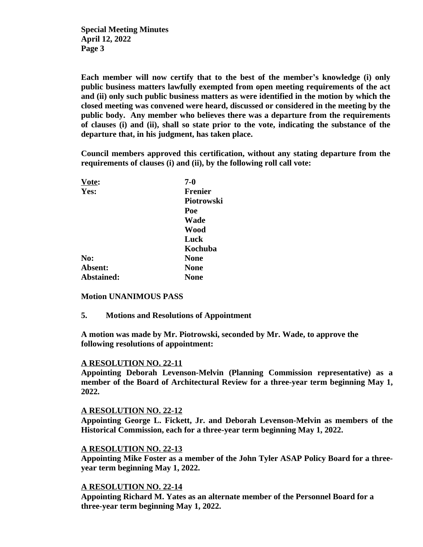**Special Meeting Minutes April 12, 2022 Page 3**

**Each member will now certify that to the best of the member's knowledge (i) only public business matters lawfully exempted from open meeting requirements of the act and (ii) only such public business matters as were identified in the motion by which the closed meeting was convened were heard, discussed or considered in the meeting by the public body. Any member who believes there was a departure from the requirements of clauses (i) and (ii), shall so state prior to the vote, indicating the substance of the departure that, in his judgment, has taken place.** 

**Council members approved this certification, without any stating departure from the requirements of clauses (i) and (ii), by the following roll call vote:**

| Vote:      | $7 - 0$        |
|------------|----------------|
| Yes:       | <b>Frenier</b> |
|            | Piotrowski     |
|            | Poe            |
|            | Wade           |
|            | Wood           |
|            | Luck           |
|            | Kochuba        |
| No:        | <b>None</b>    |
| Absent:    | <b>None</b>    |
| Abstained: | None           |

### **Motion UNANIMOUS PASS**

**5. Motions and Resolutions of Appointment**

**A motion was made by Mr. Piotrowski, seconded by Mr. Wade, to approve the following resolutions of appointment:**

#### **A RESOLUTION NO. 22-11**

**Appointing Deborah Levenson-Melvin (Planning Commission representative) as a member of the Board of Architectural Review for a three-year term beginning May 1, 2022.** 

#### **A RESOLUTION NO. 22-12**

**Appointing George L. Fickett, Jr. and Deborah Levenson-Melvin as members of the Historical Commission, each for a three-year term beginning May 1, 2022.**

#### **A RESOLUTION NO. 22-13**

**Appointing Mike Foster as a member of the John Tyler ASAP Policy Board for a threeyear term beginning May 1, 2022.**

## **A RESOLUTION NO. 22-14**

**Appointing Richard M. Yates as an alternate member of the Personnel Board for a three-year term beginning May 1, 2022.**